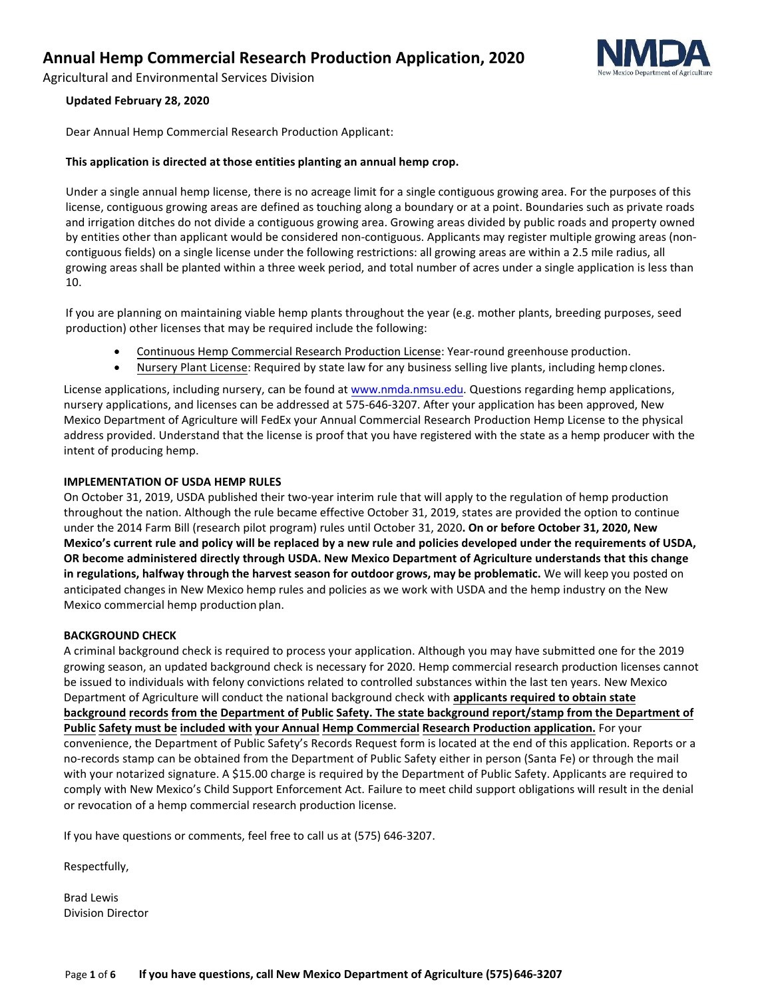Agricultural and Environmental Services Division

#### **Updated February 28, 2020**

Dear Annual Hemp Commercial Research Production Applicant:

#### **This application is directed at those entities planting an annual hemp crop.**

Under a single annual hemp license, there is no acreage limit for a single contiguous growing area. For the purposes of this license, contiguous growing areas are defined as touching along a boundary or at a point. Boundaries such as private roads and irrigation ditches do not divide a contiguous growing area. Growing areas divided by public roads and property owned by entities other than applicant would be considered non-contiguous. Applicants may register multiple growing areas (noncontiguous fields) on a single license under the following restrictions: all growing areas are within a 2.5 mile radius, all growing areas shall be planted within a three week period, and total number of acres under a single application is less than 10.

If you are planning on maintaining viable hemp plants throughout the year (e.g. mother plants, breeding purposes, seed production) other licenses that may be required include the following:

- Continuous Hemp Commercial Research Production License: Year-round greenhouse production.
- Nursery Plant License: Required by state law for any business selling live plants, including hemp clones.

License applications, including nursery, can be found at [www.nmda.nmsu.edu.](http://www.nmda.nmsu.edu/) Questions regarding hemp applications, nursery applications, and licenses can be addressed at 575-646-3207. After your application has been approved, New Mexico Department of Agriculture will FedEx your Annual Commercial Research Production Hemp License to the physical address provided. Understand that the license is proof that you have registered with the state as a hemp producer with the intent of producing hemp.

#### **IMPLEMENTATION OF USDA HEMP RULES**

On October 31, 2019, USDA published their two-year interim rule that will apply to the regulation of hemp production throughout the nation. Although the rule became effective October 31, 2019, states are provided the option to continue under the 2014 Farm Bill (research pilot program) rules until October 31, 2020**. On or before October 31, 2020, New Mexico's current rule and policy will be replaced by a new rule and policies developed under the requirements of USDA, OR become administered directly through USDA. New Mexico Department of Agriculture understands that this change in regulations, halfway through the harvest season for outdoor grows, may be problematic.** We will keep you posted on anticipated changes in New Mexico hemp rules and policies as we work with USDA and the hemp industry on the New Mexico commercial hemp production plan.

#### **BACKGROUND CHECK**

A criminal background check is required to process your application. Although you may have submitted one for the 2019 growing season, an updated background check is necessary for 2020. Hemp commercial research production licenses cannot be issued to individuals with felony convictions related to controlled substances within the last ten years. New Mexico Department of Agriculture will conduct the national background check with **applicants required to obtain state background records from the Department of Public Safety. The state background report/stamp from the Department of Public Safety must be included with your Annual Hemp Commercial Research Production application.** For your convenience, the Department of Public Safety's Records Request form is located at the end of this application. Reports or a no-records stamp can be obtained from the Department of Public Safety either in person (Santa Fe) or through the mail with your notarized signature. A \$15.00 charge is required by the Department of Public Safety. Applicants are required to comply with New Mexico's Child Support Enforcement Act. Failure to meet child support obligations will result in the denial or revocation of a hemp commercial research production license.

If you have questions or comments, feel free to call us at (575) 646-3207.

Respectfully,

Brad Lewis Division Director

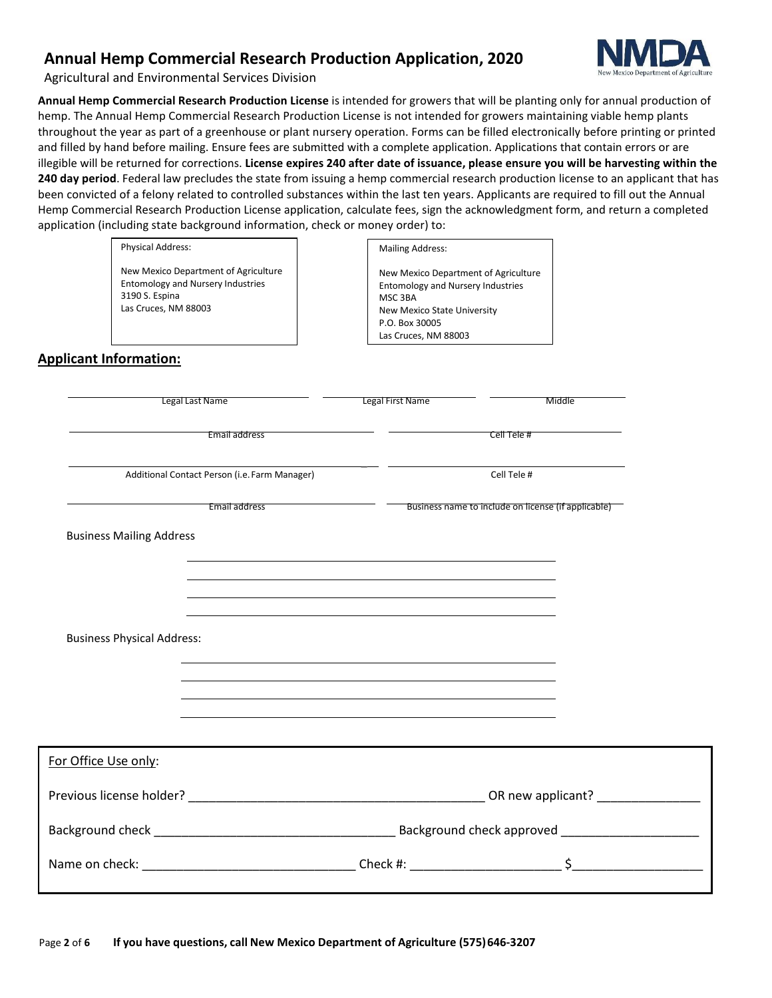

Agricultural and Environmental Services Division

**Annual Hemp Commercial Research Production License** is intended for growers that will be planting only for annual production of hemp. The Annual Hemp Commercial Research Production License is not intended for growers maintaining viable hemp plants throughout the year as part of a greenhouse or plant nursery operation. Forms can be filled electronically before printing or printed and filled by hand before mailing. Ensure fees are submitted with a complete application. Applications that contain errors or are illegible will be returned for corrections. **License expires 240 after date of issuance, please ensure you will be harvesting within the 240 day period**. Federal law precludes the state from issuing a hemp commercial research production license to an applicant that has been convicted of a felony related to controlled substances within the last ten years. Applicants are required to fill out the Annual Hemp Commercial Research Production License application, calculate fees, sign the acknowledgment form, and return a completed application (including state background information, check or money order) to:

Physical Address:

New Mexico Department of Agriculture Entomology and Nursery Industries 3190 S. Espina Las Cruces, NM 88003

| <b>Mailing Address:</b>                                                          |
|----------------------------------------------------------------------------------|
| New Mexico Department of Agriculture<br><b>Entomology and Nursery Industries</b> |
| MSC 3BA                                                                          |
| New Mexico State University                                                      |

P.O. Box 30005 Las Cruces, NM 88003

**Applicant Information:**

|                                   | Legal Last Name                               | Legal First Name |                                                     | Middle           |
|-----------------------------------|-----------------------------------------------|------------------|-----------------------------------------------------|------------------|
|                                   | Email address                                 |                  | Cell Tele #                                         |                  |
|                                   | Additional Contact Person (i.e. Farm Manager) |                  | Cell Tele #                                         |                  |
|                                   | Email address                                 |                  | Business name to include on license (if applicable) |                  |
| <b>Business Mailing Address</b>   |                                               |                  |                                                     |                  |
|                                   |                                               |                  |                                                     |                  |
|                                   |                                               |                  |                                                     |                  |
| <b>Business Physical Address:</b> |                                               |                  |                                                     |                  |
|                                   |                                               |                  |                                                     |                  |
|                                   |                                               |                  |                                                     |                  |
|                                   |                                               |                  |                                                     |                  |
| For Office Use only:              |                                               |                  |                                                     |                  |
|                                   |                                               |                  |                                                     |                  |
|                                   |                                               |                  |                                                     |                  |
|                                   |                                               |                  |                                                     | Check #: $\zeta$ |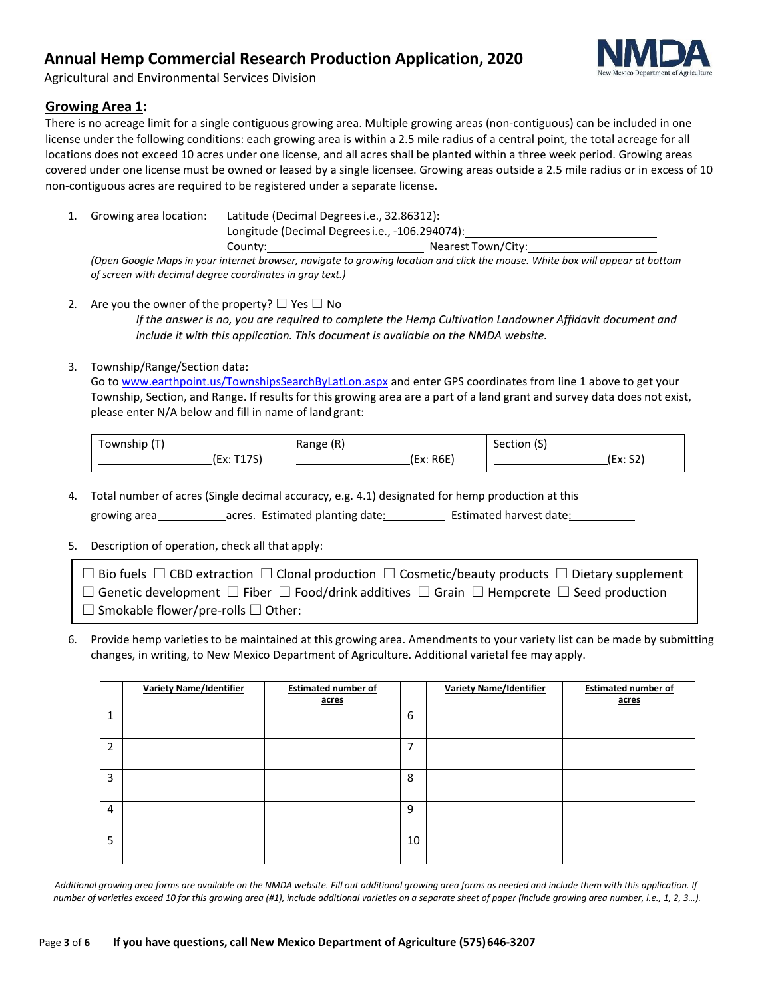

Agricultural and Environmental Services Division

#### **Growing Area 1:**

There is no acreage limit for a single contiguous growing area. Multiple growing areas (non-contiguous) can be included in one license under the following conditions: each growing area is within a 2.5 mile radius of a central point, the total acreage for all locations does not exceed 10 acres under one license, and all acres shall be planted within a three week period. Growing areas covered under one license must be owned or leased by a single licensee. Growing areas outside a 2.5 mile radius or in excess of 10 non-contiguous acres are required to be registered under a separate license.

1. Growing area location: Latitude (Decimal Degreesi.e., 32.86312): Longitude (Decimal Degreesi.e., -106.294074): County: Nearest Town/City:

*(Open Google Maps in your internet browser, navigate to growing location and click the mouse. White box will appear at bottom of screen with decimal degree coordinates in gray text.)*

2. Are you the owner of the property?  $\Box$  Yes  $\Box$  No *If the answer is no, you are required to complete the Hemp Cultivation Landowner Affidavit document and include it with this application. This document is available on the NMDA website.*

#### 3. Township/Range/Section data:

Go to www.earthpoint.us/TownshipsSearchByLatLon.aspx and enter GPS coordinates from line 1 above to get your Township, Section, and Range. If results for this growing area are a part of a land grant and survey data does not exist, please enter N/A below and fill in name of land grant:

| Township (T) | Range (R) | Section (S) |
|--------------|-----------|-------------|
| (Ex: T17S)   | (Ex: R6E) | (Ex: S2)    |

4. Total number of acres (Single decimal accuracy, e.g. 4.1) designated for hemp production at this

growing area acres. Estimated planting date: Estimated harvest date:

#### 5. Description of operation, check all that apply:

| $\Box$ Bio fuels $\Box$ CBD extraction $\Box$ Clonal production $\Box$ Cosmetic/beauty products $\Box$ Dietary supplement |
|---------------------------------------------------------------------------------------------------------------------------|
| $\Box$ Genetic development $\Box$ Fiber $\Box$ Food/drink additives $\Box$ Grain $\Box$ Hempcrete $\Box$ Seed production  |
| $\Box$ Smokable flower/pre-rolls $\Box$ Other:                                                                            |

6. Provide hemp varieties to be maintained at this growing area. Amendments to your variety list can be made by submitting changes, in writing, to New Mexico Department of Agriculture. Additional varietal fee may apply.

|                | <b>Variety Name/Identifier</b> | <b>Estimated number of</b><br>acres |    | <b>Variety Name/Identifier</b> | <b>Estimated number of</b><br>acres |
|----------------|--------------------------------|-------------------------------------|----|--------------------------------|-------------------------------------|
| 1              |                                |                                     | 6  |                                |                                     |
| $\overline{2}$ |                                |                                     | 7  |                                |                                     |
| 3              |                                |                                     | 8  |                                |                                     |
| 4              |                                |                                     | 9  |                                |                                     |
| 5              |                                |                                     | 10 |                                |                                     |

*Additional growing area forms are available on the NMDA website. Fill out additional growing area forms as needed and include them with this application. If*  number of varieties exceed 10 for this growing area (#1), include additional varieties on a separate sheet of paper (include growing area number, i.e., 1, 2, 3...).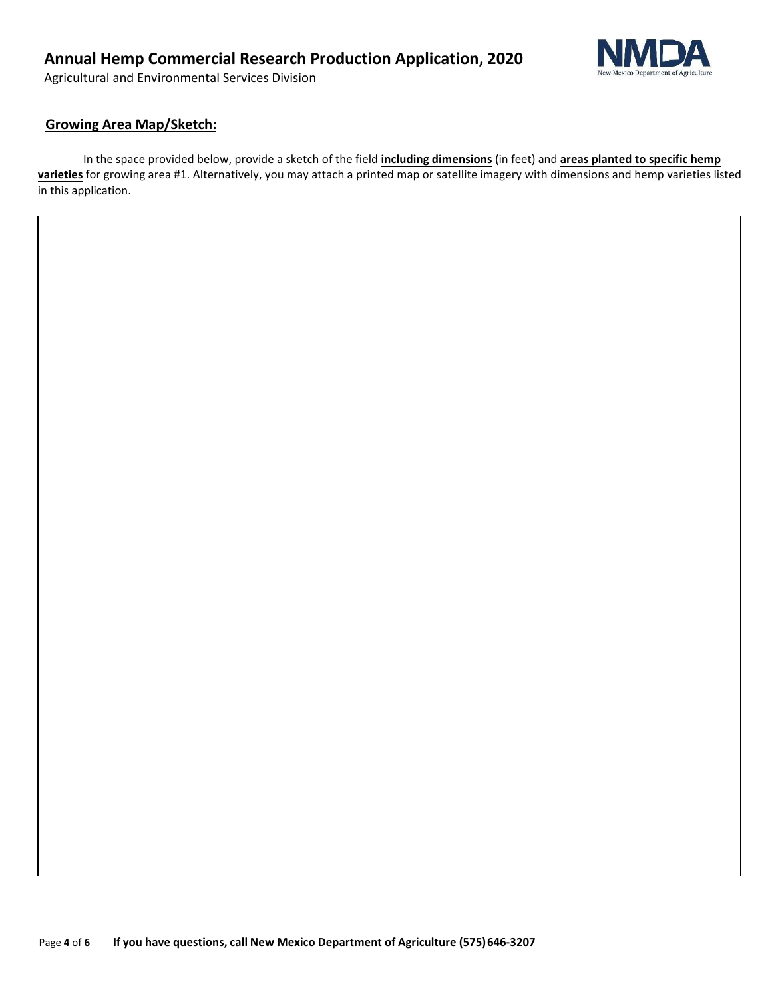Agricultural and Environmental Services Division



### **Growing Area Map/Sketch:**

In the space provided below, provide a sketch of the field **including dimensions** (in feet) and **areas planted to specific hemp varieties** for growing area #1. Alternatively, you may attach a printed map or satellite imagery with dimensions and hemp varieties listed in this application.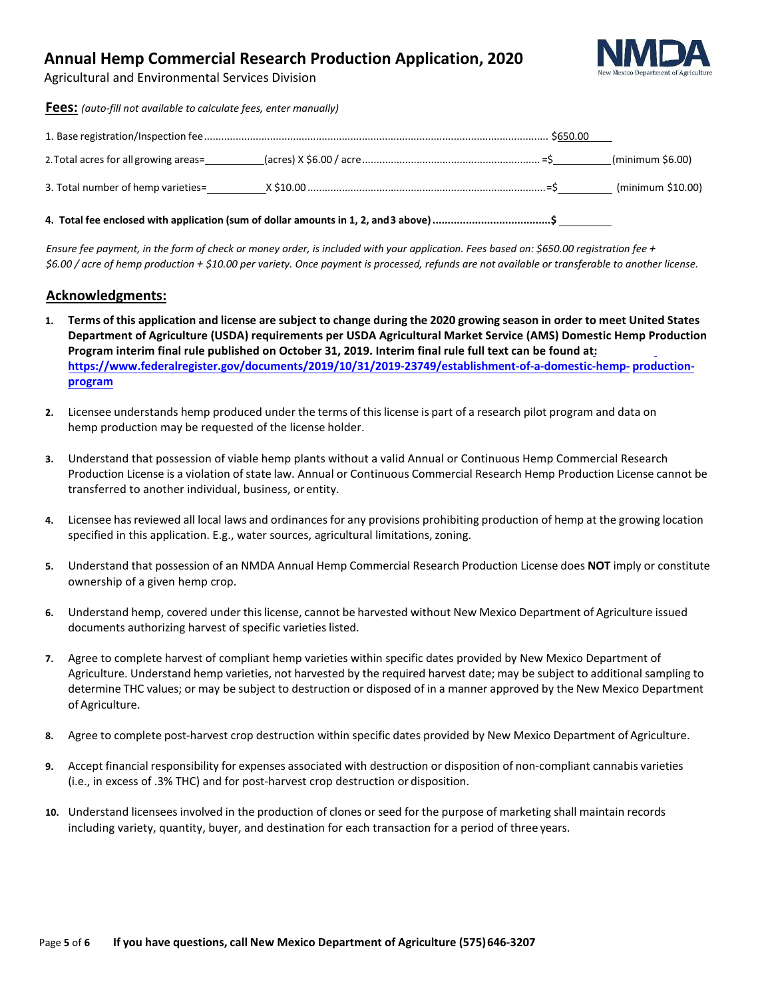

Agricultural and Environmental Services Division

**Fees:** *(auto-fill not available to calculate fees, enter manually)*

|                                                                                        | (minimum \$6.00)  |
|----------------------------------------------------------------------------------------|-------------------|
|                                                                                        | (minimum \$10.00) |
| 4. Total fee enclosed with application (sum of dollar amounts in 1, 2, and 3 above) \$ |                   |

*Ensure fee payment, in the form of check or money order, is included with your application. Fees based on: \$650.00 registration fee + \$6.00 / acre of hemp production + \$10.00 per variety. Once payment is processed, refunds are not available or transferable to another license.*

#### **Acknowledgments:**

- 1. Terms of this application and license are subject to change during the 2020 growing season in order to meet United States **Department of Agriculture (USDA) requirements per USDA Agricultural Market Service (AMS) Domestic Hemp Production Program interim final rule published on October 31, 2019. Interim final rule full text can be found at: [https://www.federalregister.gov/documents/2019/10/31/2019-23749/establishment-of-a-domestic-hemp-](https://www.federalregister.gov/documents/2019/10/31/2019-23749/establishment-of-a-domestic-hemp-production-program) production[program](https://www.federalregister.gov/documents/2019/10/31/2019-23749/establishment-of-a-domestic-hemp-production-program)**
- **2.** Licensee understands hemp produced under the terms of thislicense is part of a research pilot program and data on hemp production may be requested of the license holder.
- **3.** Understand that possession of viable hemp plants without a valid Annual or Continuous Hemp Commercial Research Production License is a violation of state law. Annual or Continuous Commercial Research Hemp Production License cannot be transferred to another individual, business, orentity.
- **4.** Licensee hasreviewed all local laws and ordinances for any provisions prohibiting production of hemp at the growing location specified in this application. E.g., water sources, agricultural limitations, zoning.
- **5.** Understand that possession of an NMDA Annual Hemp Commercial Research Production License does **NOT** imply or constitute ownership of a given hemp crop.
- **6.** Understand hemp, covered under thislicense, cannot be harvested without New Mexico Department of Agriculture issued documents authorizing harvest of specific varieties listed.
- **7.** Agree to complete harvest of compliant hemp varieties within specific dates provided by New Mexico Department of Agriculture. Understand hemp varieties, not harvested by the required harvest date; may be subject to additional sampling to determine THC values; or may be subject to destruction or disposed of in a manner approved by the New Mexico Department of Agriculture.
- **8.** Agree to complete post-harvest crop destruction within specific dates provided by New Mexico Department of Agriculture.
- **9.** Accept financial responsibility for expenses associated with destruction or disposition of non-compliant cannabis varieties (i.e., in excess of .3% THC) and for post-harvest crop destruction or disposition.
- **10.** Understand licensees involved in the production of clones or seed for the purpose of marketing shall maintain records including variety, quantity, buyer, and destination for each transaction for a period of three years.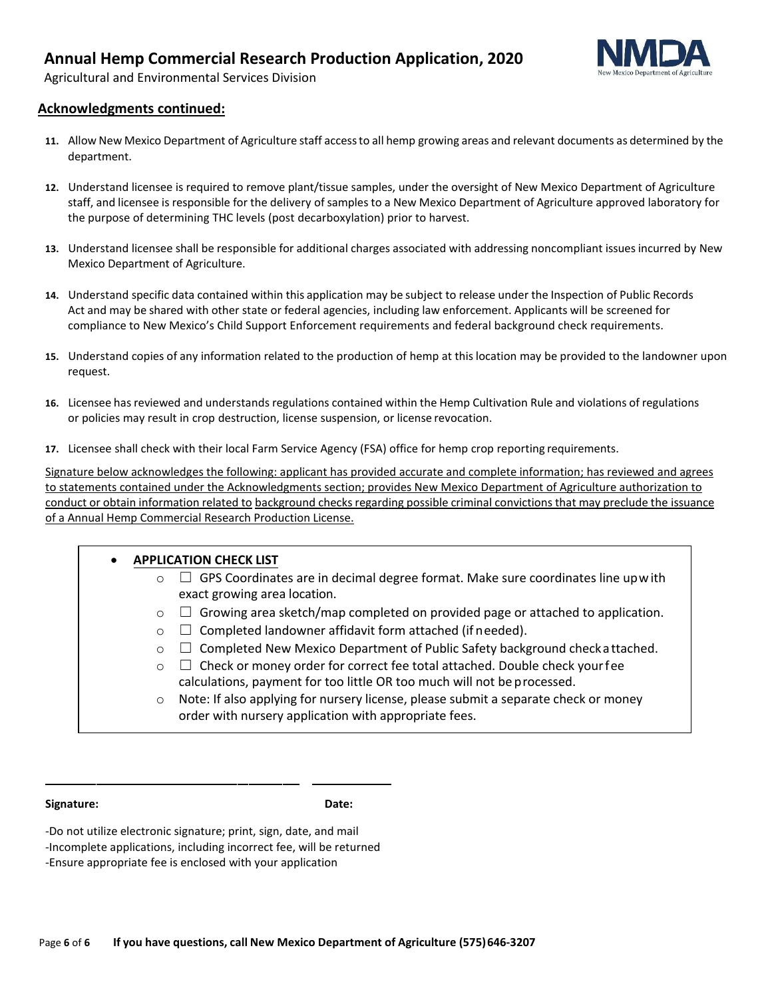

Agricultural and Environmental Services Division

#### **Acknowledgments continued:**

- **11.** Allow New Mexico Department of Agriculture staff accessto all hemp growing areas and relevant documents as determined by the department.
- **12.** Understand licensee is required to remove plant/tissue samples, under the oversight of New Mexico Department of Agriculture staff, and licensee is responsible for the delivery of samples to a New Mexico Department of Agriculture approved laboratory for the purpose of determining THC levels (post decarboxylation) prior to harvest.
- **13.** Understand licensee shall be responsible for additional charges associated with addressing noncompliant issues incurred by New Mexico Department of Agriculture.
- **14.** Understand specific data contained within this application may be subject to release under the Inspection of Public Records Act and may be shared with other state or federal agencies, including law enforcement. Applicants will be screened for compliance to New Mexico's Child Support Enforcement requirements and federal background check requirements.
- **15.** Understand copies of any information related to the production of hemp at this location may be provided to the landowner upon request.
- **16.** Licensee has reviewed and understands regulations contained within the Hemp Cultivation Rule and violations of regulations or policies may result in crop destruction, license suspension, or license revocation.
- **17.** Licensee shall check with their local Farm Service Agency (FSA) office for hemp crop reporting requirements.

Signature below acknowledges the following: applicant has provided accurate and complete information; has reviewed and agrees to statements contained under the Acknowledgments section; provides New Mexico Department of Agriculture authorization to conduct or obtain information related to background checks regarding possible criminal convictions that may preclude the issuance of a Annual Hemp Commercial Research Production License.

| <b>APPLICATION CHECK LIST</b><br>$\bullet$ |                                                                                         |  |  |  |  |  |
|--------------------------------------------|-----------------------------------------------------------------------------------------|--|--|--|--|--|
| $\circ$                                    | GPS Coordinates are in decimal degree format. Make sure coordinates line upwith         |  |  |  |  |  |
|                                            | exact growing area location.                                                            |  |  |  |  |  |
| $\circ$                                    | Growing area sketch/map completed on provided page or attached to application.          |  |  |  |  |  |
| $\circ$                                    | $\Box$ Completed landowner affidavit form attached (if needed).                         |  |  |  |  |  |
| $\circ$                                    | Completed New Mexico Department of Public Safety background check a ttached.<br>$\perp$ |  |  |  |  |  |
| $\circ$                                    | $\Box$ Check or money order for correct fee total attached. Double check your fee       |  |  |  |  |  |
|                                            | calculations, payment for too little OR too much will not be processed.                 |  |  |  |  |  |
| $\circ$                                    | Note: If also applying for nursery license, please submit a separate check or money     |  |  |  |  |  |
|                                            | order with nursery application with appropriate fees.                                   |  |  |  |  |  |

**Signature: Date:**

-Do not utilize electronic signature; print, sign, date, and mail -Incomplete applications, including incorrect fee, will be returned -Ensure appropriate fee is enclosed with your application